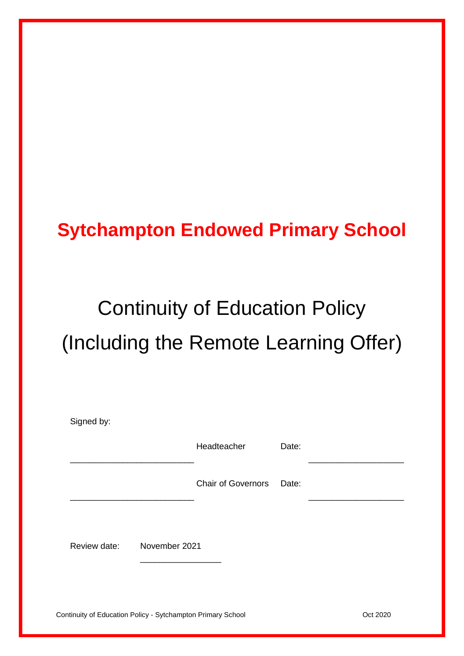## **Sytchampton Endowed Primary School**

# Continuity of Education Policy (Including the Remote Learning Offer)

| Signed by:   |               |                          |       |  |
|--------------|---------------|--------------------------|-------|--|
|              |               | Headteacher              | Date: |  |
|              |               | Chair of Governors Date: |       |  |
|              |               |                          |       |  |
| Review date: | November 2021 |                          |       |  |
|              |               |                          |       |  |

Continuity of Education Policy - Sytchampton Primary School **Continuity of Education Policy - Sytchampton Primary School**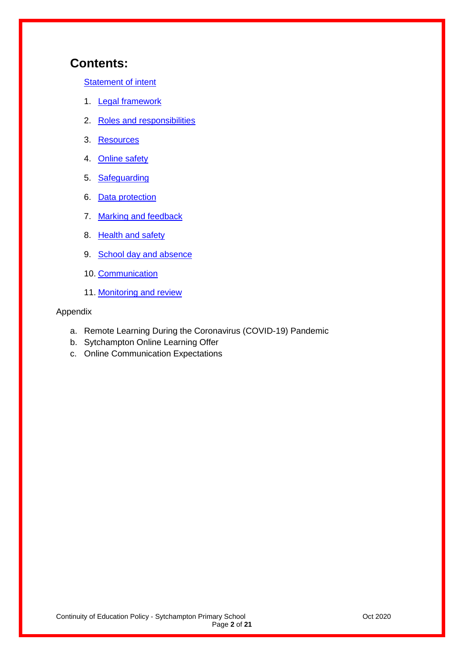## **Contents:**

[Statement of intent](#page-2-0)

- 1. [Legal framework](#page-2-1)
- 2. [Roles and responsibilities](#page-3-0)
- 3. [Resources](#page-6-0)
- 4. [Online safety](#page-8-0)
- 5. [Safeguarding](#page-9-0)
- 6. [Data protection](#page-10-0)
- 7. [Marking and feedback](#page-11-0)
- 8. [Health and safety](#page-11-1)
- 9. [School day and absence](#page-12-0)
- 10. [Communication](#page-12-1)
- 11. [Monitoring and review](#page-13-0)

#### Appendix

- a. [Remote Learning During the Coronavirus \(COVID-19\) Pandemic](#page-14-0)
- b. Sytchampton Online Learning Offer
- c. Online Communication Expectations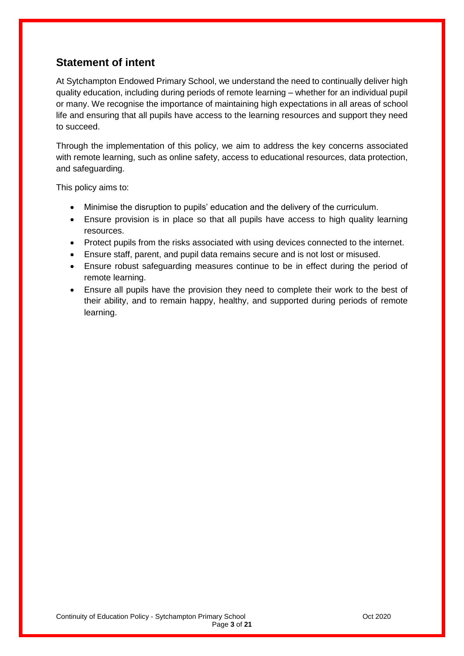## <span id="page-2-0"></span>**Statement of intent**

At Sytchampton Endowed Primary School, we understand the need to continually deliver high quality education, including during periods of remote learning – whether for an individual pupil or many. We recognise the importance of maintaining high expectations in all areas of school life and ensuring that all pupils have access to the learning resources and support they need to succeed.

Through the implementation of this policy, we aim to address the key concerns associated with remote learning, such as online safety, access to educational resources, data protection, and safeguarding.

This policy aims to:

- Minimise the disruption to pupils' education and the delivery of the curriculum.
- Ensure provision is in place so that all pupils have access to high quality learning resources.
- Protect pupils from the risks associated with using devices connected to the internet.
- Ensure staff, parent, and pupil data remains secure and is not lost or misused.
- Ensure robust safeguarding measures continue to be in effect during the period of remote learning.
- <span id="page-2-1"></span> Ensure all pupils have the provision they need to complete their work to the best of their ability, and to remain happy, healthy, and supported during periods of remote learning.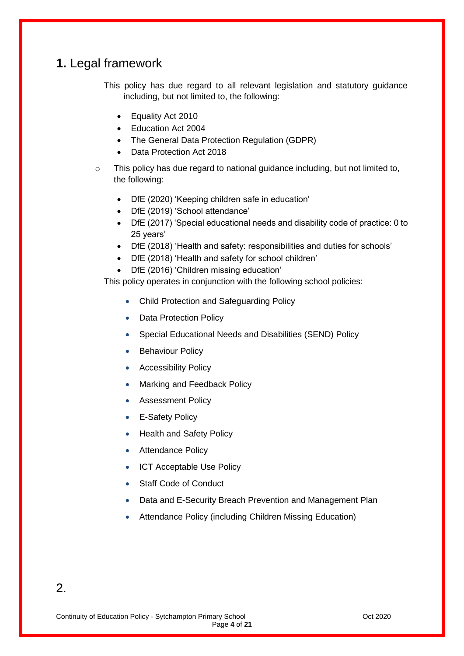## **1.** Legal framework

This policy has due regard to all relevant legislation and statutory guidance including, but not limited to, the following:

- Equality Act 2010
- Education Act 2004
- The General Data Protection Regulation (GDPR)
- Data Protection Act 2018
- $\circ$  This policy has due regard to national guidance including, but not limited to, the following:
	- DfE (2020) 'Keeping children safe in education'
	- DfE (2019) 'School attendance'
	- DfE (2017) 'Special educational needs and disability code of practice: 0 to 25 years'
	- DfE (2018) 'Health and safety: responsibilities and duties for schools'
	- DfE (2018) 'Health and safety for school children'
	- DfE (2016) 'Children missing education'

This policy operates in conjunction with the following school policies:

- Child Protection and Safeguarding Policy
- Data Protection Policy
- Special Educational Needs and Disabilities (SEND) Policy
- Behaviour Policy
- Accessibility Policy
- Marking and Feedback Policy
- Assessment Policy
- E-Safety Policy
- Health and Safety Policy
- Attendance Policy
- ICT Acceptable Use Policy
- Staff Code of Conduct
- Data and E-Security Breach Prevention and Management Plan
- <span id="page-3-0"></span>Attendance Policy (including Children Missing Education)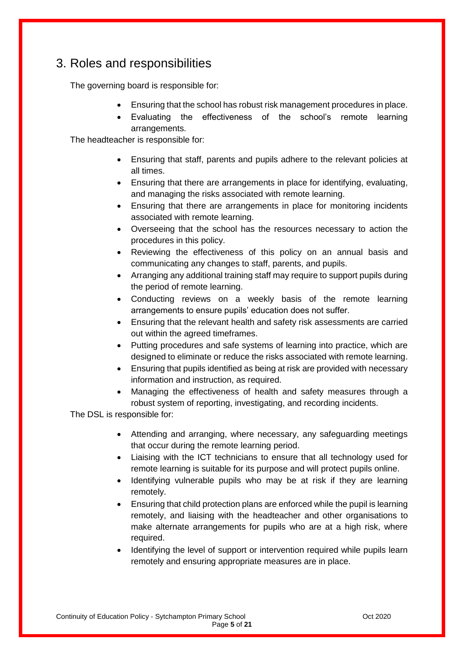## 3. Roles and responsibilities

The governing board is responsible for:

- Ensuring that the school has robust risk management procedures in place.
- Evaluating the effectiveness of the school's remote learning arrangements.

The headteacher is responsible for:

- Ensuring that staff, parents and pupils adhere to the relevant policies at all times.
- Ensuring that there are arrangements in place for identifying, evaluating, and managing the risks associated with remote learning.
- Ensuring that there are arrangements in place for monitoring incidents associated with remote learning.
- Overseeing that the school has the resources necessary to action the procedures in this policy.
- Reviewing the effectiveness of this policy on an annual basis and communicating any changes to staff, parents, and pupils.
- Arranging any additional training staff may require to support pupils during the period of remote learning.
- Conducting reviews on a weekly basis of the remote learning arrangements to ensure pupils' education does not suffer.
- Ensuring that the relevant health and safety risk assessments are carried out within the agreed timeframes.
- Putting procedures and safe systems of learning into practice, which are designed to eliminate or reduce the risks associated with remote learning.
- Ensuring that pupils identified as being at risk are provided with necessary information and instruction, as required.
- Managing the effectiveness of health and safety measures through a robust system of reporting, investigating, and recording incidents.

The DSL is responsible for:

- Attending and arranging, where necessary, any safeguarding meetings that occur during the remote learning period.
- Liaising with the ICT technicians to ensure that all technology used for remote learning is suitable for its purpose and will protect pupils online.
- Identifying vulnerable pupils who may be at risk if they are learning remotely.
- Ensuring that child protection plans are enforced while the pupil is learning remotely, and liaising with the headteacher and other organisations to make alternate arrangements for pupils who are at a high risk, where required.
- Identifying the level of support or intervention required while pupils learn remotely and ensuring appropriate measures are in place.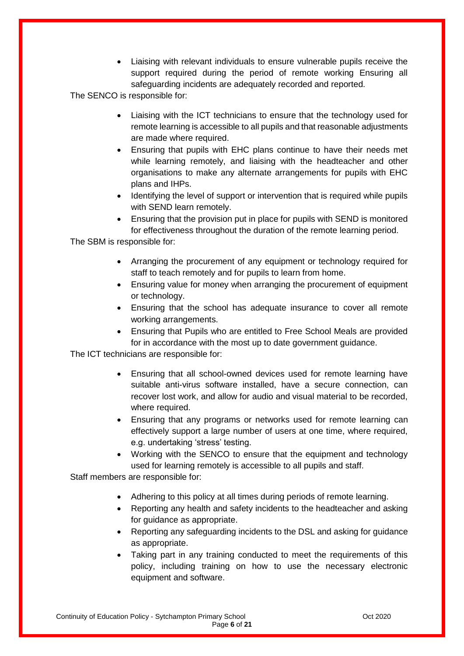Liaising with relevant individuals to ensure vulnerable pupils receive the support required during the period of remote working Ensuring all safeguarding incidents are adequately recorded and reported.

The SENCO is responsible for:

- Liaising with the ICT technicians to ensure that the technology used for remote learning is accessible to all pupils and that reasonable adjustments are made where required.
- Ensuring that pupils with EHC plans continue to have their needs met while learning remotely, and liaising with the headteacher and other organisations to make any alternate arrangements for pupils with EHC plans and IHPs.
- Identifying the level of support or intervention that is required while pupils with SEND learn remotely.
- Ensuring that the provision put in place for pupils with SEND is monitored for effectiveness throughout the duration of the remote learning period.

The SBM is responsible for:

- Arranging the procurement of any equipment or technology required for staff to teach remotely and for pupils to learn from home.
- Ensuring value for money when arranging the procurement of equipment or technology.
- Ensuring that the school has adequate insurance to cover all remote working arrangements.
- Ensuring that Pupils who are entitled to Free School Meals are provided for in accordance with the most up to date government guidance.

The ICT technicians are responsible for:

- Ensuring that all school-owned devices used for remote learning have suitable anti-virus software installed, have a secure connection, can recover lost work, and allow for audio and visual material to be recorded, where required.
- Ensuring that any programs or networks used for remote learning can effectively support a large number of users at one time, where required, e.g. undertaking 'stress' testing.
- Working with the SENCO to ensure that the equipment and technology used for learning remotely is accessible to all pupils and staff.

Staff members are responsible for:

- Adhering to this policy at all times during periods of remote learning.
- Reporting any health and safety incidents to the headteacher and asking for guidance as appropriate.
- Reporting any safeguarding incidents to the DSL and asking for guidance as appropriate.
- Taking part in any training conducted to meet the requirements of this policy, including training on how to use the necessary electronic equipment and software.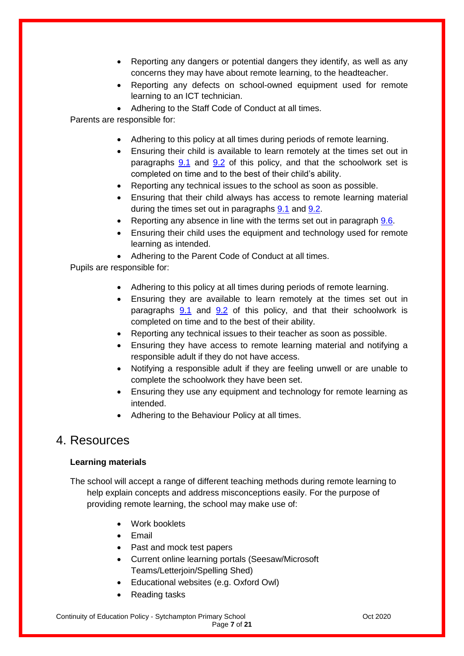- Reporting any dangers or potential dangers they identify, as well as any concerns they may have about remote learning, to the headteacher.
- Reporting any defects on school-owned equipment used for remote learning to an ICT technician.
- Adhering to the Staff Code of Conduct at all times.

Parents are responsible for:

- Adhering to this policy at all times during periods of remote learning.
- Ensuring their child is available to learn remotely at the times set out in paragraphs  $9.1$  and  $9.2$  of this policy, and that the schoolwork set is completed on time and to the best of their child's ability.
- Reporting any technical issues to the school as soon as possible.
- Ensuring that their child always has access to remote learning material during the times set out in paragraphs [9.1](#page-12-2) and [9.2.](#page-12-3)
- Reporting any absence in line with the terms set out in paragraph [9.6.](#page-12-4)
- Ensuring their child uses the equipment and technology used for remote learning as intended.
- Adhering to the Parent Code of Conduct at all times.

Pupils are responsible for:

- Adhering to this policy at all times during periods of remote learning.
- Ensuring they are available to learn remotely at the times set out in paragraphs [9.1](#page-12-2) and [9.2](#page-12-3) of this policy, and that their schoolwork is completed on time and to the best of their ability.
- Reporting any technical issues to their teacher as soon as possible.
- Ensuring they have access to remote learning material and notifying a responsible adult if they do not have access.
- Notifying a responsible adult if they are feeling unwell or are unable to complete the schoolwork they have been set.
- Ensuring they use any equipment and technology for remote learning as intended.
- Adhering to the Behaviour Policy at all times.

### <span id="page-6-0"></span>4. Resources

#### **Learning materials**

The school will accept a range of different teaching methods during remote learning to help explain concepts and address misconceptions easily. For the purpose of providing remote learning, the school may make use of:

- Work booklets
- $\bullet$  Fmail
- Past and mock test papers
- Current online learning portals (Seesaw/Microsoft Teams/Letterjoin/Spelling Shed)
- Educational websites (e.g. Oxford Owl)
- Reading tasks

Continuity of Education Policy - Sytchampton Primary School **Continuity of Education Policy - Sytchampton Primary School**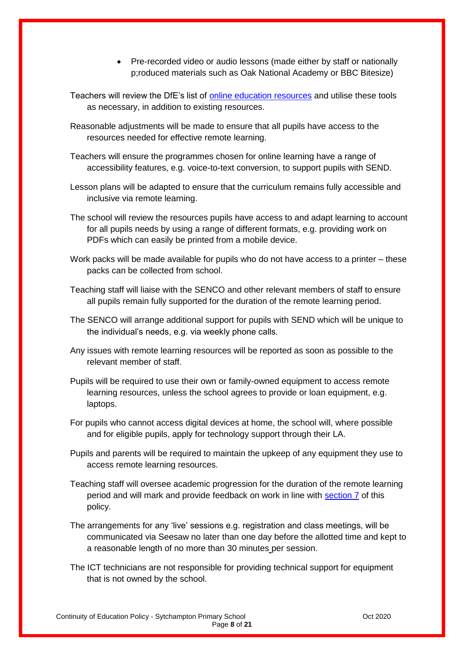- Pre-recorded video or audio lessons (made either by staff or nationally p;roduced materials such as Oak National Academy or BBC Bitesize)
- Teachers will review the DfE's list of [online education resources](https://www.gov.uk/government/publications/coronavirus-covid-19-online-education-resources) and utilise these tools as necessary, in addition to existing resources.
- Reasonable adjustments will be made to ensure that all pupils have access to the resources needed for effective remote learning.
- Teachers will ensure the programmes chosen for online learning have a range of accessibility features, e.g. voice-to-text conversion, to support pupils with SEND.
- Lesson plans will be adapted to ensure that the curriculum remains fully accessible and inclusive via remote learning.
- The school will review the resources pupils have access to and adapt learning to account for all pupils needs by using a range of different formats, e.g. providing work on PDFs which can easily be printed from a mobile device.
- Work packs will be made available for pupils who do not have access to a printer these packs can be collected from school.
- Teaching staff will liaise with the SENCO and other relevant members of staff to ensure all pupils remain fully supported for the duration of the remote learning period.
- The SENCO will arrange additional support for pupils with SEND which will be unique to the individual's needs, e.g. via weekly phone calls.
- Any issues with remote learning resources will be reported as soon as possible to the relevant member of staff.
- Pupils will be required to use their own or family-owned equipment to access remote learning resources, unless the school agrees to provide or loan equipment, e.g. laptops.
- For pupils who cannot access digital devices at home, the school will, where possible and for eligible pupils, apply for technology support through their LA.
- Pupils and parents will be required to maintain the upkeep of any equipment they use to access remote learning resources.
- Teaching staff will oversee academic progression for the duration of the remote learning period and will mark and provide feedback on work in line with [section 7](#page-11-0) of this policy.
- The arrangements for any 'live' sessions e.g. registration and class meetings, will be communicated via Seesaw no later than one day before the allotted time and kept to a reasonable length of no more than 30 minutes per session.
- The ICT technicians are not responsible for providing technical support for equipment that is not owned by the school.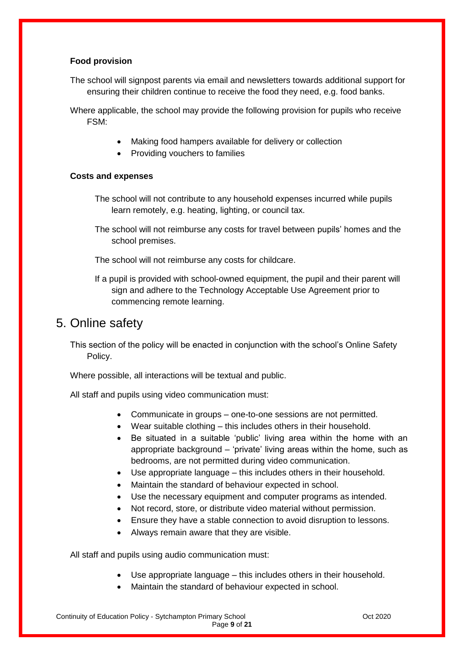#### **Food provision**

The school will signpost parents via email and newsletters towards additional support for ensuring their children continue to receive the food they need, e.g. food banks.

Where applicable, the school may provide the following provision for pupils who receive FSM:

- Making food hampers available for delivery or collection
- Providing vouchers to families

#### **Costs and expenses**

- The school will not contribute to any household expenses incurred while pupils learn remotely, e.g. heating, lighting, or council tax.
- The school will not reimburse any costs for travel between pupils' homes and the school premises.
- The school will not reimburse any costs for childcare.
- If a pupil is provided with school-owned equipment, the pupil and their parent will sign and adhere to the Technology Acceptable Use Agreement prior to commencing remote learning.

## <span id="page-8-0"></span>5. Online safety

This section of the policy will be enacted in conjunction with the school's Online Safety Policy.

Where possible, all interactions will be textual and public.

All staff and pupils using video communication must:

- Communicate in groups one-to-one sessions are not permitted.
- Wear suitable clothing this includes others in their household.
- Be situated in a suitable 'public' living area within the home with an appropriate background – 'private' living areas within the home, such as bedrooms, are not permitted during video communication.
- Use appropriate language this includes others in their household.
- Maintain the standard of behaviour expected in school.
- Use the necessary equipment and computer programs as intended.
- Not record, store, or distribute video material without permission.
- Ensure they have a stable connection to avoid disruption to lessons.
- Always remain aware that they are visible.

All staff and pupils using audio communication must:

- Use appropriate language this includes others in their household.
- Maintain the standard of behaviour expected in school.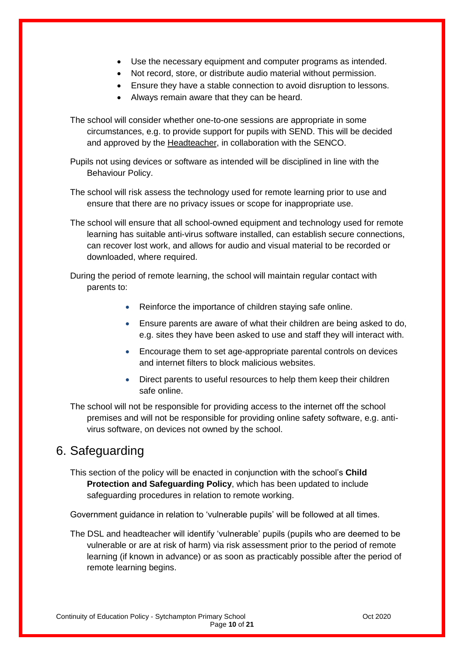- Use the necessary equipment and computer programs as intended.
- Not record, store, or distribute audio material without permission.
- Ensure they have a stable connection to avoid disruption to lessons.
- Always remain aware that they can be heard.

The school will consider whether one-to-one sessions are appropriate in some circumstances, e.g. to provide support for pupils with SEND. This will be decided and approved by the Headteacher, in collaboration with the SENCO.

Pupils not using devices or software as intended will be disciplined in line with the Behaviour Policy.

The school will risk assess the technology used for remote learning prior to use and ensure that there are no privacy issues or scope for inappropriate use.

The school will ensure that all school-owned equipment and technology used for remote learning has suitable anti-virus software installed, can establish secure connections, can recover lost work, and allows for audio and visual material to be recorded or downloaded, where required.

During the period of remote learning, the school will maintain regular contact with parents to:

- Reinforce the importance of children staying safe online.
- Ensure parents are aware of what their children are being asked to do, e.g. sites they have been asked to use and staff they will interact with.
- Encourage them to set age-appropriate parental controls on devices and internet filters to block malicious websites.
- Direct parents to useful resources to help them keep their children safe online.

The school will not be responsible for providing access to the internet off the school premises and will not be responsible for providing online safety software, e.g. antivirus software, on devices not owned by the school.

## <span id="page-9-0"></span>6. Safeguarding

This section of the policy will be enacted in conjunction with the school's **Child Protection and Safeguarding Policy**, which has been updated to include safeguarding procedures in relation to remote working.

Government guidance in relation to 'vulnerable pupils' will be followed at all times.

The DSL and headteacher will identify 'vulnerable' pupils (pupils who are deemed to be vulnerable or are at risk of harm) via risk assessment prior to the period of remote learning (if known in advance) or as soon as practicably possible after the period of remote learning begins.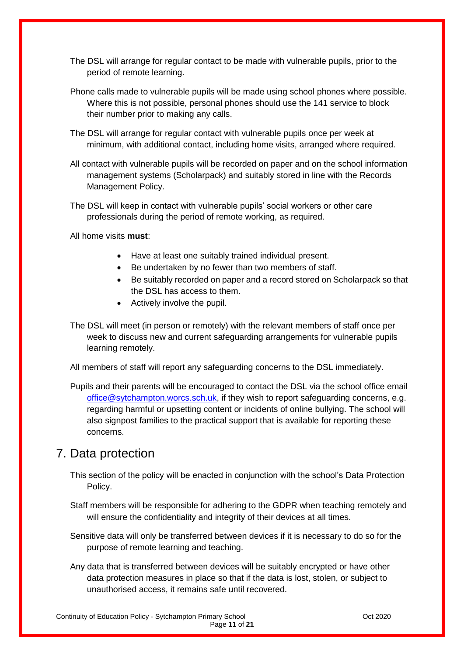- The DSL will arrange for regular contact to be made with vulnerable pupils, prior to the period of remote learning.
- Phone calls made to vulnerable pupils will be made using school phones where possible. Where this is not possible, personal phones should use the 141 service to block their number prior to making any calls.
- The DSL will arrange for regular contact with vulnerable pupils once per week at minimum, with additional contact, including home visits, arranged where required.
- All contact with vulnerable pupils will be recorded on paper and on the school information management systems (Scholarpack) and suitably stored in line with the Records Management Policy.
- The DSL will keep in contact with vulnerable pupils' social workers or other care professionals during the period of remote working, as required.

All home visits **must**:

- Have at least one suitably trained individual present.
- Be undertaken by no fewer than two members of staff.
- Be suitably recorded on paper and a record stored on Scholarpack so that the DSL has access to them.
- Actively involve the pupil.
- The DSL will meet (in person or remotely) with the relevant members of staff once per week to discuss new and current safeguarding arrangements for vulnerable pupils learning remotely.

All members of staff will report any safeguarding concerns to the DSL immediately.

Pupils and their parents will be encouraged to contact the DSL via the school office email [office@sytchampton.worcs.sch.uk,](mailto:office@sytchampton.worcs.sch.uk) if they wish to report safeguarding concerns, e.g. regarding harmful or upsetting content or incidents of online bullying. The school will also signpost families to the practical support that is available for reporting these concerns.

## <span id="page-10-0"></span>7. Data protection

- This section of the policy will be enacted in conjunction with the school's Data Protection Policy.
- Staff members will be responsible for adhering to the GDPR when teaching remotely and will ensure the confidentiality and integrity of their devices at all times.
- Sensitive data will only be transferred between devices if it is necessary to do so for the purpose of remote learning and teaching.
- Any data that is transferred between devices will be suitably encrypted or have other data protection measures in place so that if the data is lost, stolen, or subject to unauthorised access, it remains safe until recovered.

Continuity of Education Policy - Sytchampton Primary School **Continuity of Education Policy - Sytchampton Primary School** Page **11** of **21**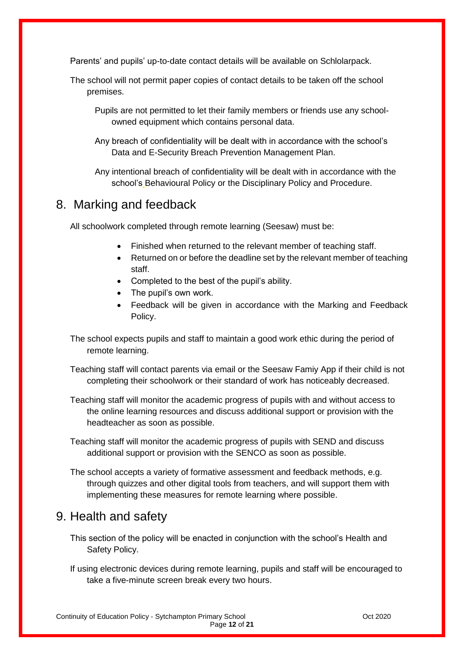Parents' and pupils' up-to-date contact details will be available on Schlolarpack.

The school will not permit paper copies of contact details to be taken off the school premises.

Pupils are not permitted to let their family members or friends use any schoolowned equipment which contains personal data.

Any breach of confidentiality will be dealt with in accordance with the school's Data and E-Security Breach Prevention Management Plan.

Any intentional breach of confidentiality will be dealt with in accordance with the school's Behavioural Policy or the Disciplinary Policy and Procedure.

## <span id="page-11-0"></span>8. Marking and feedback

All schoolwork completed through remote learning (Seesaw) must be:

- Finished when returned to the relevant member of teaching staff.
- Returned on or before the deadline set by the relevant member of teaching staff.
- Completed to the best of the pupil's ability.
- The pupil's own work.
- Feedback will be given in accordance with the Marking and Feedback Policy.

The school expects pupils and staff to maintain a good work ethic during the period of remote learning.

Teaching staff will contact parents via email or the Seesaw Famiy App if their child is not completing their schoolwork or their standard of work has noticeably decreased.

Teaching staff will monitor the academic progress of pupils with and without access to the online learning resources and discuss additional support or provision with the headteacher as soon as possible.

Teaching staff will monitor the academic progress of pupils with SEND and discuss additional support or provision with the SENCO as soon as possible.

The school accepts a variety of formative assessment and feedback methods, e.g. through quizzes and other digital tools from teachers, and will support them with implementing these measures for remote learning where possible.

## <span id="page-11-1"></span>9. Health and safety

This section of the policy will be enacted in conjunction with the school's Health and Safety Policy.

If using electronic devices during remote learning, pupils and staff will be encouraged to take a five-minute screen break every two hours.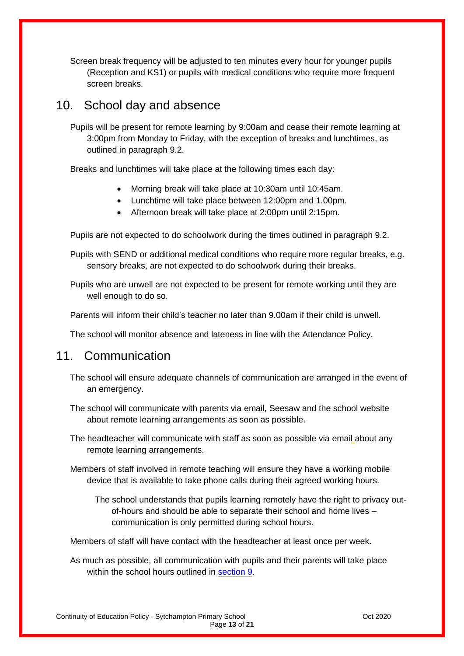Screen break frequency will be adjusted to ten minutes every hour for younger pupils (Reception and KS1) or pupils with medical conditions who require more frequent screen breaks.

## <span id="page-12-0"></span>10. School day and absence

<span id="page-12-2"></span>Pupils will be present for remote learning by 9:00am and cease their remote learning at 3:00pm from Monday to Friday, with the exception of breaks and lunchtimes, as outlined in paragraph 9.2.

<span id="page-12-3"></span>Breaks and lunchtimes will take place at the following times each day:

- Morning break will take place at 10:30am until 10:45am.
- Lunchtime will take place between 12:00pm and 1.00pm.
- Afternoon break will take place at 2:00pm until 2:15pm.

Pupils are not expected to do schoolwork during the times outlined in paragraph 9.2.

Pupils with SEND or additional medical conditions who require more regular breaks, e.g. sensory breaks, are not expected to do schoolwork during their breaks.

Pupils who are unwell are not expected to be present for remote working until they are well enough to do so.

<span id="page-12-4"></span>Parents will inform their child's teacher no later than 9.00am if their child is unwell.

The school will monitor absence and lateness in line with the Attendance Policy.

## <span id="page-12-1"></span>11 Communication

- The school will ensure adequate channels of communication are arranged in the event of an emergency.
- The school will communicate with parents via email, Seesaw and the school website about remote learning arrangements as soon as possible.
- The headteacher will communicate with staff as soon as possible via email about any remote learning arrangements.

Members of staff involved in remote teaching will ensure they have a working mobile device that is available to take phone calls during their agreed working hours.

The school understands that pupils learning remotely have the right to privacy outof-hours and should be able to separate their school and home lives – communication is only permitted during school hours.

Members of staff will have contact with the headteacher at least once per week.

As much as possible, all communication with pupils and their parents will take place within the school hours outlined in [section 9.](#page-12-0)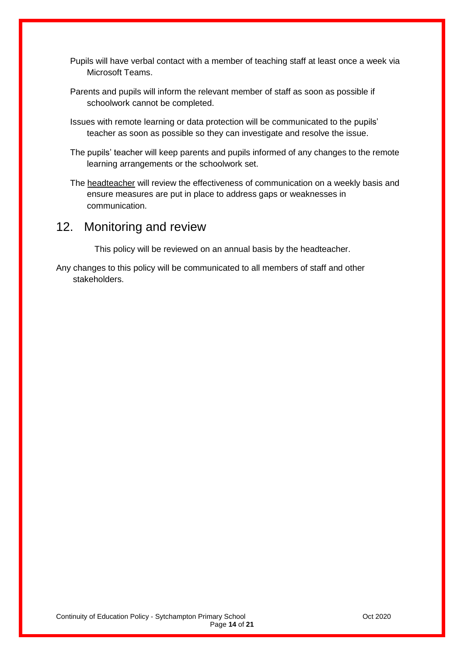- Pupils will have verbal contact with a member of teaching staff at least once a week via Microsoft Teams.
- Parents and pupils will inform the relevant member of staff as soon as possible if schoolwork cannot be completed.
- Issues with remote learning or data protection will be communicated to the pupils' teacher as soon as possible so they can investigate and resolve the issue.
- The pupils' teacher will keep parents and pupils informed of any changes to the remote learning arrangements or the schoolwork set.
- The headteacher will review the effectiveness of communication on a weekly basis and ensure measures are put in place to address gaps or weaknesses in communication.

## <span id="page-13-0"></span>12. Monitoring and review

This policy will be reviewed on an annual basis by the headteacher.

Any changes to this policy will be communicated to all members of staff and other stakeholders.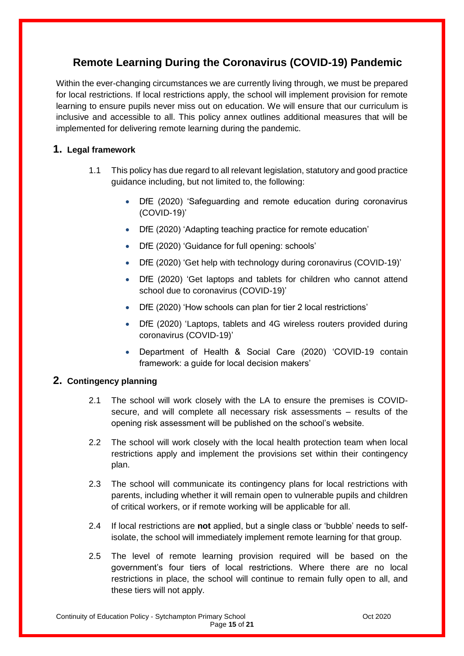## <span id="page-14-0"></span>**Remote Learning During the Coronavirus (COVID-19) Pandemic**

Within the ever-changing circumstances we are currently living through, we must be prepared for local restrictions. If local restrictions apply, the school will implement provision for remote learning to ensure pupils never miss out on education. We will ensure that our curriculum is inclusive and accessible to all. This policy annex outlines additional measures that will be implemented for delivering remote learning during the pandemic.

#### **1. Legal framework**

- 1.1 This policy has due regard to all relevant legislation, statutory and good practice guidance including, but not limited to, the following:
	- DfE (2020) 'Safeguarding and remote education during coronavirus (COVID-19)'
	- DfE (2020) 'Adapting teaching practice for remote education'
	- DfE (2020) 'Guidance for full opening: schools'
	- DfE (2020) 'Get help with technology during coronavirus (COVID-19)'
	- DfE (2020) 'Get laptops and tablets for children who cannot attend school due to coronavirus (COVID-19)'
	- DfE (2020) 'How schools can plan for tier 2 local restrictions'
	- DfE (2020) 'Laptops, tablets and 4G wireless routers provided during coronavirus (COVID-19)'
	- Department of Health & Social Care (2020) 'COVID-19 contain framework: a guide for local decision makers'

#### **2. Contingency planning**

- 2.1 The school will work closely with the LA to ensure the premises is COVIDsecure, and will complete all necessary risk assessments – results of the opening risk assessment will be published on the school's website.
- 2.2 The school will work closely with the local health protection team when local restrictions apply and implement the provisions set within their contingency plan.
- 2.3 The school will communicate its contingency plans for local restrictions with parents, including whether it will remain open to vulnerable pupils and children of critical workers, or if remote working will be applicable for all.
- 2.4 If local restrictions are **not** applied, but a single class or 'bubble' needs to selfisolate, the school will immediately implement remote learning for that group.
- 2.5 The level of remote learning provision required will be based on the government's four tiers of local restrictions. Where there are no local restrictions in place, the school will continue to remain fully open to all, and these tiers will not apply.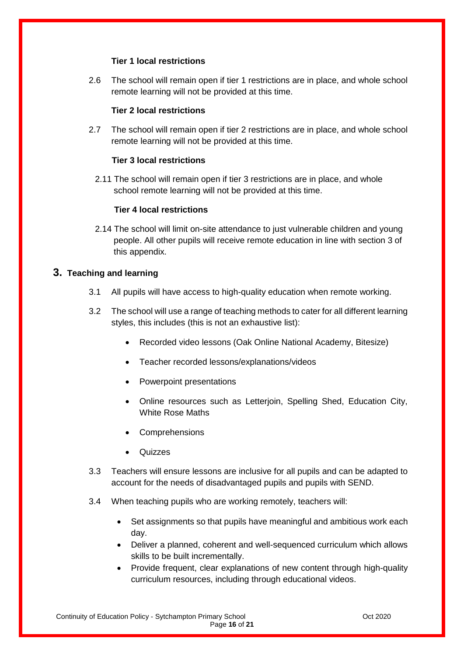#### **Tier 1 local restrictions**

2.6 The school will remain open if tier 1 restrictions are in place, and whole school remote learning will not be provided at this time.

#### **Tier 2 local restrictions**

2.7 The school will remain open if tier 2 restrictions are in place, and whole school remote learning will not be provided at this time.

#### **Tier 3 local restrictions**

2.11 The school will remain open if tier 3 restrictions are in place, and whole school remote learning will not be provided at this time.

#### **Tier 4 local restrictions**

2.14 The school will limit on-site attendance to just vulnerable children and young people. All other pupils will receive remote education in line with section 3 of this appendix.

#### **3. Teaching and learning**

- 3.1 All pupils will have access to high-quality education when remote working.
- 3.2 The school will use a range of teaching methods to cater for all different learning styles, this includes (this is not an exhaustive list):
	- Recorded video lessons (Oak Online National Academy, Bitesize)
	- Teacher recorded lessons/explanations/videos
	- Powerpoint presentations
	- Online resources such as Letterjoin, Spelling Shed, Education City, White Rose Maths
	- Comprehensions
	- Quizzes
- 3.3 Teachers will ensure lessons are inclusive for all pupils and can be adapted to account for the needs of disadvantaged pupils and pupils with SEND.
- 3.4 When teaching pupils who are working remotely, teachers will:
	- Set assignments so that pupils have meaningful and ambitious work each day.
	- Deliver a planned, coherent and well-sequenced curriculum which allows skills to be built incrementally.
	- Provide frequent, clear explanations of new content through high-quality curriculum resources, including through educational videos.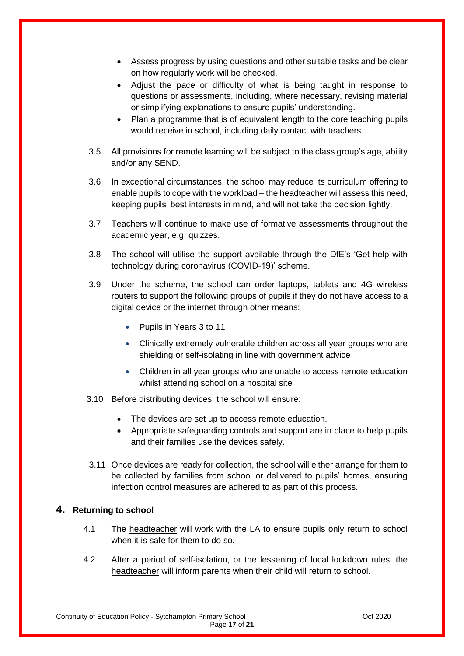- Assess progress by using questions and other suitable tasks and be clear on how regularly work will be checked.
- Adjust the pace or difficulty of what is being taught in response to questions or assessments, including, where necessary, revising material or simplifying explanations to ensure pupils' understanding.
- Plan a programme that is of equivalent length to the core teaching pupils would receive in school, including daily contact with teachers.
- 3.5 All provisions for remote learning will be subject to the class group's age, ability and/or any SEND.
- 3.6 In exceptional circumstances, the school may reduce its curriculum offering to enable pupils to cope with the workload – the headteacher will assess this need, keeping pupils' best interests in mind, and will not take the decision lightly.
- 3.7 Teachers will continue to make use of formative assessments throughout the academic year, e.g. quizzes.
- 3.8 The school will utilise the support available through the DfE's 'Get help with technology during coronavirus (COVID-19)' scheme.
- 3.9 Under the scheme, the school can order laptops, tablets and 4G wireless routers to support the following groups of pupils if they do not have access to a digital device or the internet through other means:
	- Pupils in Years 3 to 11
	- Clinically extremely vulnerable children across all year groups who are shielding or self-isolating in line with government advice
	- Children in all year groups who are unable to access remote education whilst attending school on a hospital site
- 3.10 Before distributing devices, the school will ensure:
	- The devices are set up to access remote education.
	- Appropriate safeguarding controls and support are in place to help pupils and their families use the devices safely.
- 3.11 Once devices are ready for collection, the school will either arrange for them to be collected by families from school or delivered to pupils' homes, ensuring infection control measures are adhered to as part of this process.

#### **4. Returning to school**

- 4.1 The headteacher will work with the LA to ensure pupils only return to school when it is safe for them to do so.
- 4.2 After a period of self-isolation, or the lessening of local lockdown rules, the headteacher will inform parents when their child will return to school.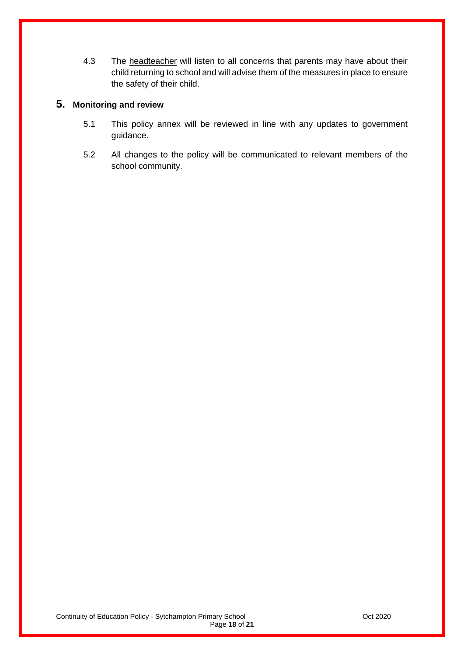4.3 The headteacher will listen to all concerns that parents may have about their child returning to school and will advise them of the measures in place to ensure the safety of their child.

#### **5. Monitoring and review**

- 5.1 This policy annex will be reviewed in line with any updates to government guidance.
- 5.2 All changes to the policy will be communicated to relevant members of the school community.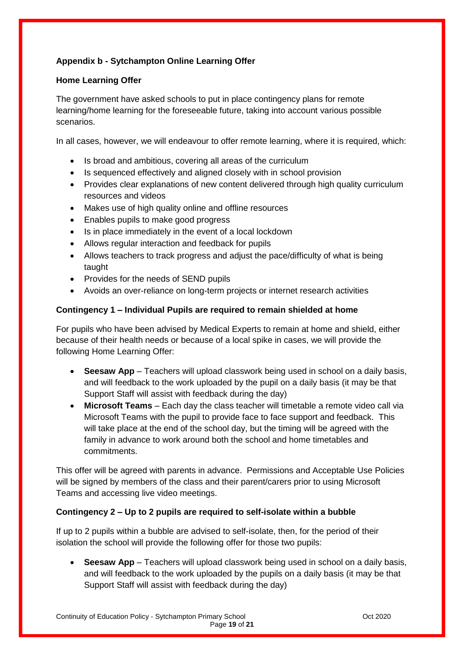#### **Appendix b - Sytchampton Online Learning Offer**

#### **Home Learning Offer**

The government have asked schools to put in place contingency plans for remote learning/home learning for the foreseeable future, taking into account various possible scenarios.

In all cases, however, we will endeavour to offer remote learning, where it is required, which:

- Is broad and ambitious, covering all areas of the curriculum
- Is sequenced effectively and aligned closely with in school provision
- Provides clear explanations of new content delivered through high quality curriculum resources and videos
- Makes use of high quality online and offline resources
- Enables pupils to make good progress
- Is in place immediately in the event of a local lockdown
- Allows regular interaction and feedback for pupils
- Allows teachers to track progress and adjust the pace/difficulty of what is being taught
- Provides for the needs of SEND pupils
- Avoids an over-reliance on long-term projects or internet research activities

#### **Contingency 1 – Individual Pupils are required to remain shielded at home**

For pupils who have been advised by Medical Experts to remain at home and shield, either because of their health needs or because of a local spike in cases, we will provide the following Home Learning Offer:

- **Seesaw App** Teachers will upload classwork being used in school on a daily basis, and will feedback to the work uploaded by the pupil on a daily basis (it may be that Support Staff will assist with feedback during the day)
- **Microsoft Teams** Each day the class teacher will timetable a remote video call via Microsoft Teams with the pupil to provide face to face support and feedback. This will take place at the end of the school day, but the timing will be agreed with the family in advance to work around both the school and home timetables and commitments.

This offer will be agreed with parents in advance. Permissions and Acceptable Use Policies will be signed by members of the class and their parent/carers prior to using Microsoft Teams and accessing live video meetings.

#### **Contingency 2 – Up to 2 pupils are required to self-isolate within a bubble**

If up to 2 pupils within a bubble are advised to self-isolate, then, for the period of their isolation the school will provide the following offer for those two pupils:

 **Seesaw App** – Teachers will upload classwork being used in school on a daily basis, and will feedback to the work uploaded by the pupils on a daily basis (it may be that Support Staff will assist with feedback during the day)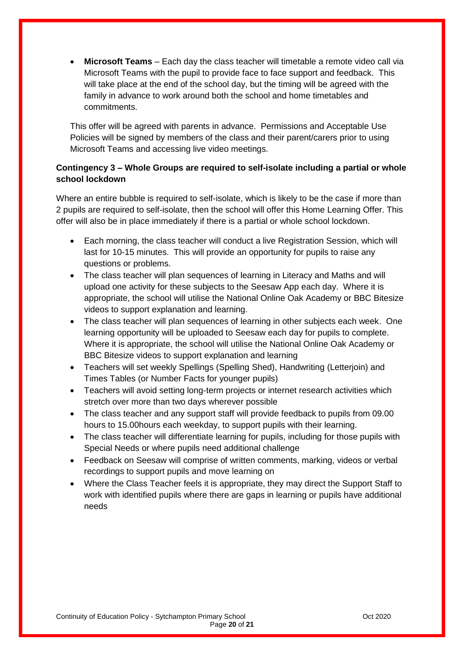**Microsoft Teams** – Each day the class teacher will timetable a remote video call via Microsoft Teams with the pupil to provide face to face support and feedback. This will take place at the end of the school day, but the timing will be agreed with the family in advance to work around both the school and home timetables and commitments.

This offer will be agreed with parents in advance. Permissions and Acceptable Use Policies will be signed by members of the class and their parent/carers prior to using Microsoft Teams and accessing live video meetings.

#### **Contingency 3 – Whole Groups are required to self-isolate including a partial or whole school lockdown**

Where an entire bubble is required to self-isolate, which is likely to be the case if more than 2 pupils are required to self-isolate, then the school will offer this Home Learning Offer. This offer will also be in place immediately if there is a partial or whole school lockdown.

- Each morning, the class teacher will conduct a live Registration Session, which will last for 10-15 minutes. This will provide an opportunity for pupils to raise any questions or problems.
- The class teacher will plan sequences of learning in Literacy and Maths and will upload one activity for these subjects to the Seesaw App each day. Where it is appropriate, the school will utilise the National Online Oak Academy or BBC Bitesize videos to support explanation and learning.
- The class teacher will plan sequences of learning in other subjects each week. One learning opportunity will be uploaded to Seesaw each day for pupils to complete. Where it is appropriate, the school will utilise the National Online Oak Academy or BBC Bitesize videos to support explanation and learning
- Teachers will set weekly Spellings (Spelling Shed), Handwriting (Letterjoin) and Times Tables (or Number Facts for younger pupils)
- Teachers will avoid setting long-term projects or internet research activities which stretch over more than two days wherever possible
- The class teacher and any support staff will provide feedback to pupils from 09.00 hours to 15.00hours each weekday, to support pupils with their learning.
- The class teacher will differentiate learning for pupils, including for those pupils with Special Needs or where pupils need additional challenge
- Feedback on Seesaw will comprise of written comments, marking, videos or verbal recordings to support pupils and move learning on
- Where the Class Teacher feels it is appropriate, they may direct the Support Staff to work with identified pupils where there are gaps in learning or pupils have additional needs